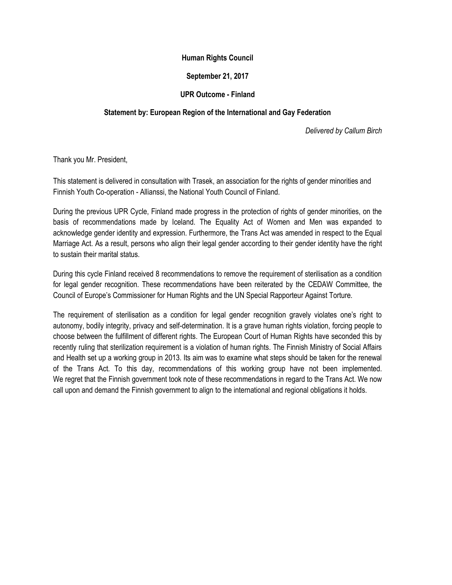## **Human Rights Council**

## **September 21, 2017**

## **UPR Outcome - Finland**

## **Statement by: European Region of the International and Gay Federation**

*Delivered by Callum Birch* 

Thank you Mr. President,

This statement is delivered in consultation with Trasek, an association for the rights of gender minorities and Finnish Youth Co-operation - Allianssi, the National Youth Council of Finland.

During the previous UPR Cycle, Finland made progress in the protection of rights of gender minorities, on the basis of recommendations made by Iceland. The Equality Act of Women and Men was expanded to acknowledge gender identity and expression. Furthermore, the Trans Act was amended in respect to the Equal Marriage Act. As a result, persons who align their legal gender according to their gender identity have the right to sustain their marital status.

During this cycle Finland received 8 recommendations to remove the requirement of sterilisation as a condition for legal gender recognition. These recommendations have been reiterated by the CEDAW Committee, the Council of Europe's Commissioner for Human Rights and the UN Special Rapporteur Against Torture.

The requirement of sterilisation as a condition for legal gender recognition gravely violates one's right to autonomy, bodily integrity, privacy and self-determination. It is a grave human rights violation, forcing people to choose between the fulfillment of different rights. The European Court of Human Rights have seconded this by recently ruling that sterilization requirement is a violation of human rights. The Finnish Ministry of Social Affairs and Health set up a working group in 2013. Its aim was to examine what steps should be taken for the renewal of the Trans Act. To this day, recommendations of this working group have not been implemented. We regret that the Finnish government took note of these recommendations in regard to the Trans Act. We now call upon and demand the Finnish government to align to the international and regional obligations it holds.